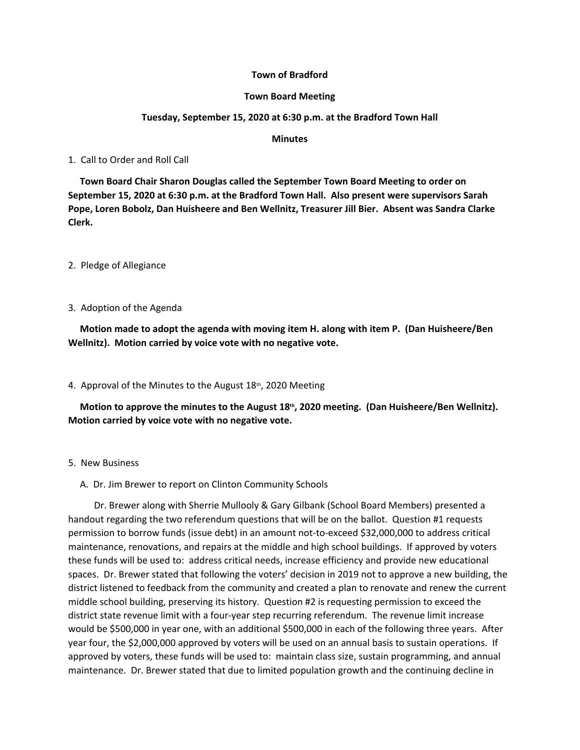## **Town of Bradford**

### **Town Board Meeting**

## **Tuesday, September 15, 2020 at 6:30 p.m. at the Bradford Town Hall**

### **Minutes**

1. Call to Order and Roll Call

 **Town Board Chair Sharon Douglas called the September Town Board Meeting to order on September 15, 2020 at 6:30 p.m. at the Bradford Town Hall. Also present were supervisors Sarah Pope, Loren Bobolz, Dan Huisheere and Ben Wellnitz, Treasurer Jill Bier. Absent was Sandra Clarke Clerk.**

2. Pledge of Allegiance

3. Adoption of the Agenda

 **Motion made to adopt the agenda with moving item H. along with item P. (Dan Huisheere/Ben Wellnitz). Motion carried by voice vote with no negative vote.**

4. Approval of the Minutes to the August  $18<sup>th</sup>$ , 2020 Meeting

 **Motion to approve the minutes to the August 18th, 2020 meeting. (Dan Huisheere/Ben Wellnitz). Motion carried by voice vote with no negative vote.**

- 5. New Business
	- A. Dr. Jim Brewer to report on Clinton Community Schools

 Dr. Brewer along with Sherrie Mullooly & Gary Gilbank (School Board Members) presented a handout regarding the two referendum questions that will be on the ballot. Question #1 requests permission to borrow funds (issue debt) in an amount not-to-exceed \$32,000,000 to address critical maintenance, renovations, and repairs at the middle and high school buildings. If approved by voters these funds will be used to: address critical needs, increase efficiency and provide new educational spaces. Dr. Brewer stated that following the voters' decision in 2019 not to approve a new building, the district listened to feedback from the community and created a plan to renovate and renew the current middle school building, preserving its history. Question #2 is requesting permission to exceed the district state revenue limit with a four-year step recurring referendum. The revenue limit increase would be \$500,000 in year one, with an additional \$500,000 in each of the following three years. After year four, the \$2,000,000 approved by voters will be used on an annual basis to sustain operations. If approved by voters, these funds will be used to: maintain class size, sustain programming, and annual maintenance. Dr. Brewer stated that due to limited population growth and the continuing decline in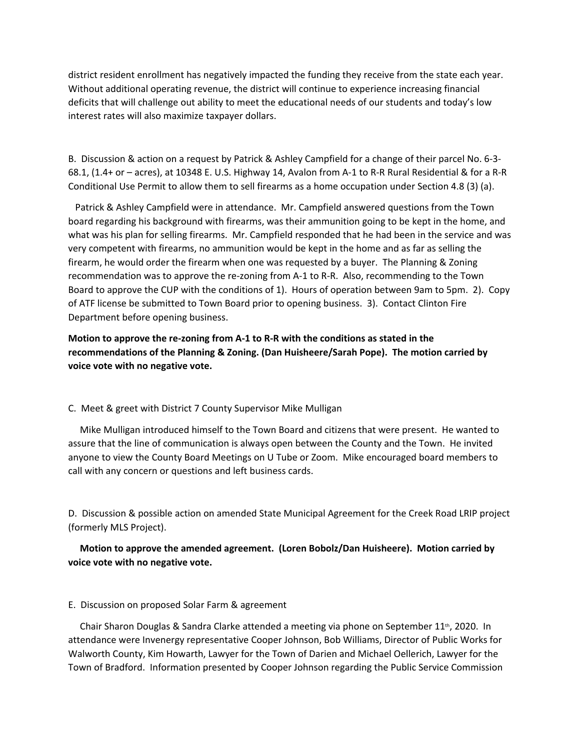district resident enrollment has negatively impacted the funding they receive from the state each year. Without additional operating revenue, the district will continue to experience increasing financial deficits that will challenge out ability to meet the educational needs of our students and today's low interest rates will also maximize taxpayer dollars.

B. Discussion & action on a request by Patrick & Ashley Campfield for a change of their parcel No. 6-3- 68.1, (1.4+ or – acres), at 10348 E. U.S. Highway 14, Avalon from A-1 to R-R Rural Residential & for a R-R Conditional Use Permit to allow them to sell firearms as a home occupation under Section 4.8 (3) (a).

 Patrick & Ashley Campfield were in attendance. Mr. Campfield answered questions from the Town board regarding his background with firearms, was their ammunition going to be kept in the home, and what was his plan for selling firearms. Mr. Campfield responded that he had been in the service and was very competent with firearms, no ammunition would be kept in the home and as far as selling the firearm, he would order the firearm when one was requested by a buyer. The Planning & Zoning recommendation was to approve the re-zoning from A-1 to R-R. Also, recommending to the Town Board to approve the CUP with the conditions of 1). Hours of operation between 9am to 5pm. 2). Copy of ATF license be submitted to Town Board prior to opening business. 3). Contact Clinton Fire Department before opening business.

**Motion to approve the re-zoning from A-1 to R-R with the conditions as stated in the recommendations of the Planning & Zoning. (Dan Huisheere/Sarah Pope). The motion carried by voice vote with no negative vote.** 

### C. Meet & greet with District 7 County Supervisor Mike Mulligan

 Mike Mulligan introduced himself to the Town Board and citizens that were present. He wanted to assure that the line of communication is always open between the County and the Town. He invited anyone to view the County Board Meetings on U Tube or Zoom. Mike encouraged board members to call with any concern or questions and left business cards.

D. Discussion & possible action on amended State Municipal Agreement for the Creek Road LRIP project (formerly MLS Project).

# **Motion to approve the amended agreement. (Loren Bobolz/Dan Huisheere). Motion carried by voice vote with no negative vote.**

#### E. Discussion on proposed Solar Farm & agreement

Chair Sharon Douglas & Sandra Clarke attended a meeting via phone on September 11<sup>th</sup>, 2020. In attendance were Invenergy representative Cooper Johnson, Bob Williams, Director of Public Works for Walworth County, Kim Howarth, Lawyer for the Town of Darien and Michael Oellerich, Lawyer for the Town of Bradford. Information presented by Cooper Johnson regarding the Public Service Commission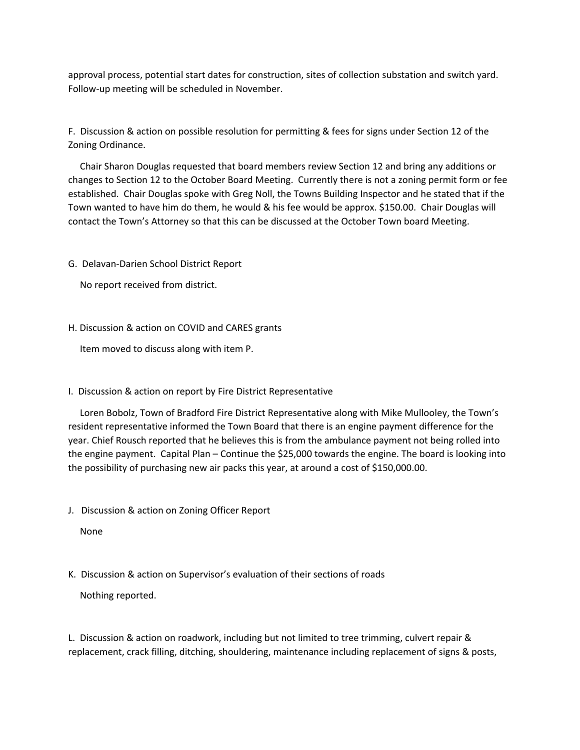approval process, potential start dates for construction, sites of collection substation and switch yard. Follow-up meeting will be scheduled in November.

F. Discussion & action on possible resolution for permitting & fees for signs under Section 12 of the Zoning Ordinance.

 Chair Sharon Douglas requested that board members review Section 12 and bring any additions or changes to Section 12 to the October Board Meeting. Currently there is not a zoning permit form or fee established. Chair Douglas spoke with Greg Noll, the Towns Building Inspector and he stated that if the Town wanted to have him do them, he would & his fee would be approx. \$150.00. Chair Douglas will contact the Town's Attorney so that this can be discussed at the October Town board Meeting.

G. Delavan-Darien School District Report

No report received from district.

H. Discussion & action on COVID and CARES grants

Item moved to discuss along with item P.

I. Discussion & action on report by Fire District Representative

 Loren Bobolz, Town of Bradford Fire District Representative along with Mike Mullooley, the Town's resident representative informed the Town Board that there is an engine payment difference for the year. Chief Rousch reported that he believes this is from the ambulance payment not being rolled into the engine payment. Capital Plan – Continue the \$25,000 towards the engine. The board is looking into the possibility of purchasing new air packs this year, at around a cost of \$150,000.00.

J. Discussion & action on Zoning Officer Report

None

K. Discussion & action on Supervisor's evaluation of their sections of roads

Nothing reported.

L. Discussion & action on roadwork, including but not limited to tree trimming, culvert repair & replacement, crack filling, ditching, shouldering, maintenance including replacement of signs & posts,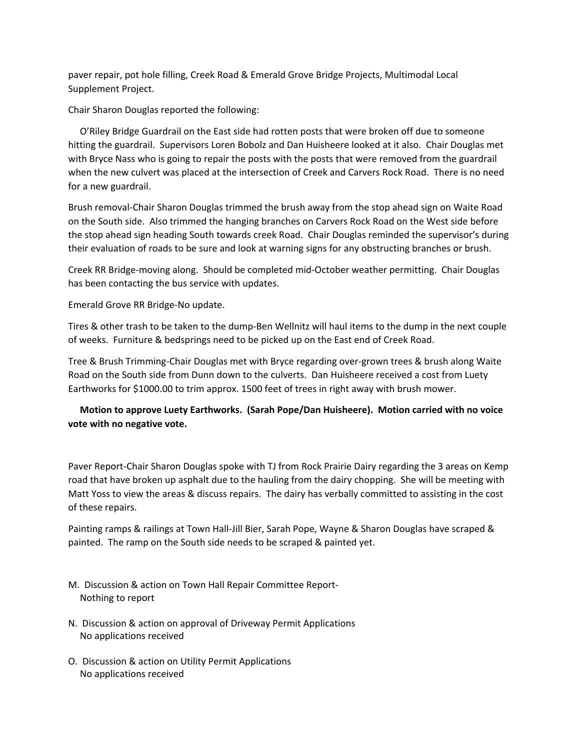paver repair, pot hole filling, Creek Road & Emerald Grove Bridge Projects, Multimodal Local Supplement Project.

Chair Sharon Douglas reported the following:

 O'Riley Bridge Guardrail on the East side had rotten posts that were broken off due to someone hitting the guardrail. Supervisors Loren Bobolz and Dan Huisheere looked at it also. Chair Douglas met with Bryce Nass who is going to repair the posts with the posts that were removed from the guardrail when the new culvert was placed at the intersection of Creek and Carvers Rock Road. There is no need for a new guardrail.

Brush removal-Chair Sharon Douglas trimmed the brush away from the stop ahead sign on Waite Road on the South side. Also trimmed the hanging branches on Carvers Rock Road on the West side before the stop ahead sign heading South towards creek Road. Chair Douglas reminded the supervisor's during their evaluation of roads to be sure and look at warning signs for any obstructing branches or brush.

Creek RR Bridge-moving along. Should be completed mid-October weather permitting. Chair Douglas has been contacting the bus service with updates.

Emerald Grove RR Bridge-No update.

Tires & other trash to be taken to the dump-Ben Wellnitz will haul items to the dump in the next couple of weeks. Furniture & bedsprings need to be picked up on the East end of Creek Road.

Tree & Brush Trimming-Chair Douglas met with Bryce regarding over-grown trees & brush along Waite Road on the South side from Dunn down to the culverts. Dan Huisheere received a cost from Luety Earthworks for \$1000.00 to trim approx. 1500 feet of trees in right away with brush mower.

 **Motion to approve Luety Earthworks. (Sarah Pope/Dan Huisheere). Motion carried with no voice vote with no negative vote.**

Paver Report-Chair Sharon Douglas spoke with TJ from Rock Prairie Dairy regarding the 3 areas on Kemp road that have broken up asphalt due to the hauling from the dairy chopping. She will be meeting with Matt Yoss to view the areas & discuss repairs. The dairy has verbally committed to assisting in the cost of these repairs.

Painting ramps & railings at Town Hall-Jill Bier, Sarah Pope, Wayne & Sharon Douglas have scraped & painted. The ramp on the South side needs to be scraped & painted yet.

- M. Discussion & action on Town Hall Repair Committee Report- Nothing to report
- N. Discussion & action on approval of Driveway Permit Applications No applications received
- O. Discussion & action on Utility Permit Applications No applications received